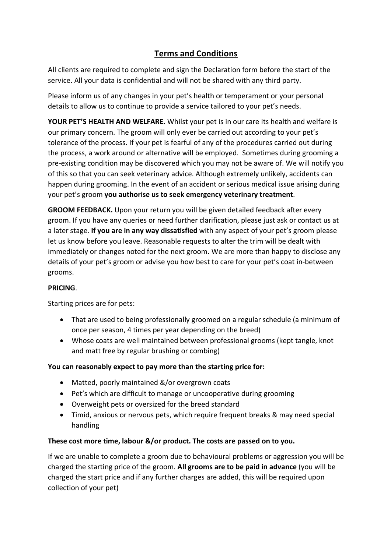# **Terms and Conditions**

All clients are required to complete and sign the Declaration form before the start of the service. All your data is confidential and will not be shared with any third party.

Please inform us of any changes in your pet's health or temperament or your personal details to allow us to continue to provide a service tailored to your pet's needs.

**YOUR PET'S HEALTH AND WELFARE.** Whilst your pet is in our care its health and welfare is our primary concern. The groom will only ever be carried out according to your pet's tolerance of the process. If your pet is fearful of any of the procedures carried out during the process, a work around or alternative will be employed. Sometimes during grooming a pre-existing condition may be discovered which you may not be aware of. We will notify you of this so that you can seek veterinary advice. Although extremely unlikely, accidents can happen during grooming. In the event of an accident or serious medical issue arising during your pet's groom **you authorise us to seek emergency veterinary treatment**.

**GROOM FEEDBACK.** Upon your return you will be given detailed feedback after every groom. If you have any queries or need further clarification, please just ask or contact us at a later stage. **If you are in any way dissatisfied** with any aspect of your pet's groom please let us know before you leave. Reasonable requests to alter the trim will be dealt with immediately or changes noted for the next groom. We are more than happy to disclose any details of your pet's groom or advise you how best to care for your pet's coat in-between grooms.

## **PRICING**.

Starting prices are for pets:

- That are used to being professionally groomed on a regular schedule (a minimum of once per season, 4 times per year depending on the breed)
- Whose coats are well maintained between professional grooms (kept tangle, knot and matt free by regular brushing or combing)

### **You can reasonably expect to pay more than the starting price for:**

- Matted, poorly maintained &/or overgrown coats
- Pet's which are difficult to manage or uncooperative during grooming
- Overweight pets or oversized for the breed standard
- Timid, anxious or nervous pets, which require frequent breaks & may need special handling

### **These cost more time, labour &/or product. The costs are passed on to you.**

If we are unable to complete a groom due to behavioural problems or aggression you will be charged the starting price of the groom. **All grooms are to be paid in advance** (you will be charged the start price and if any further charges are added, this will be required upon collection of your pet)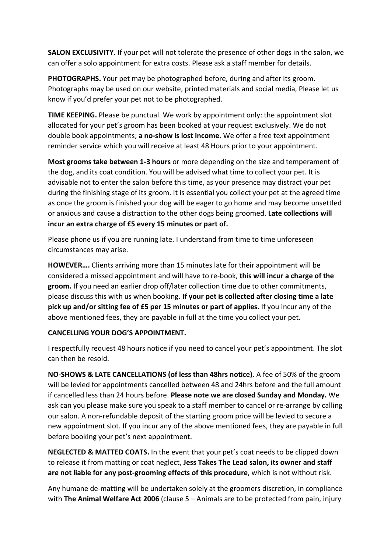**SALON EXCLUSIVITY.** If your pet will not tolerate the presence of other dogs in the salon, we can offer a solo appointment for extra costs. Please ask a staff member for details.

**PHOTOGRAPHS.** Your pet may be photographed before, during and after its groom. Photographs may be used on our website, printed materials and social media, Please let us know if you'd prefer your pet not to be photographed.

**TIME KEEPING.** Please be punctual. We work by appointment only: the appointment slot allocated for your pet's groom has been booked at your request exclusively. We do not double book appointments; **a no-show is lost income.** We offer a free text appointment reminder service which you will receive at least 48 Hours prior to your appointment.

**Most grooms take between 1-3 hours** or more depending on the size and temperament of the dog, and its coat condition. You will be advised what time to collect your pet. It is advisable not to enter the salon before this time, as your presence may distract your pet during the finishing stage of its groom. It is essential you collect your pet at the agreed time as once the groom is finished your dog will be eager to go home and may become unsettled or anxious and cause a distraction to the other dogs being groomed. **Late collections will incur an extra charge of £5 every 15 minutes or part of.**

Please phone us if you are running late. I understand from time to time unforeseen circumstances may arise.

**HOWEVER….** Clients arriving more than 15 minutes late for their appointment will be considered a missed appointment and will have to re-book, **this will incur a charge of the groom.** If you need an earlier drop off/later collection time due to other commitments, please discuss this with us when booking. **If your pet is collected after closing time a late pick up and/or sitting fee of £5 per 15 minutes or part of applies.** If you incur any of the above mentioned fees, they are payable in full at the time you collect your pet.

### **CANCELLING YOUR DOG'S APPOINTMENT.**

I respectfully request 48 hours notice if you need to cancel your pet's appointment. The slot can then be resold.

**NO-SHOWS & LATE CANCELLATIONS (of less than 48hrs notice).** A fee of 50% of the groom will be levied for appointments cancelled between 48 and 24hrs before and the full amount if cancelled less than 24 hours before. **Please note we are closed Sunday and Monday.** We ask can you please make sure you speak to a staff member to cancel or re-arrange by calling our salon. A non-refundable deposit of the starting groom price will be levied to secure a new appointment slot. If you incur any of the above mentioned fees, they are payable in full before booking your pet's next appointment.

**NEGLECTED & MATTED COATS.** In the event that your pet's coat needs to be clipped down to release it from matting or coat neglect, **Jess Takes The Lead salon, its owner and staff are not liable for any post-grooming effects of this procedure**, which is not without risk.

Any humane de-matting will be undertaken solely at the groomers discretion, in compliance with **The Animal Welfare Act 2006** (clause 5 – Animals are to be protected from pain, injury